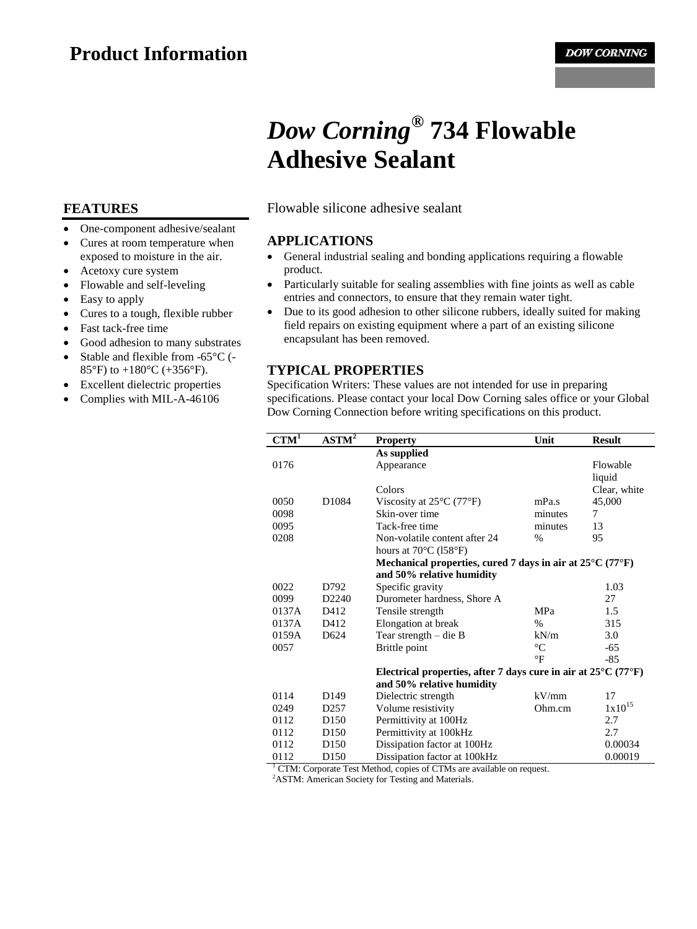# *Dow Corning***® 734 Flowable Adhesive Sealant**

Flowable silicone adhesive sealant

#### **APPLICATIONS**

- General industrial sealing and bonding applications requiring a flowable product.
- Particularly suitable for sealing assemblies with fine joints as well as cable entries and connectors, to ensure that they remain water tight.
- Due to its good adhesion to other silicone rubbers, ideally suited for making field repairs on existing equipment where a part of an existing silicone encapsulant has been removed.

## **TYPICAL PROPERTIES**

Specification Writers: These values are not intended for use in preparing specifications. Please contact your local Dow Corning sales office or your Global Dow Corning Connection before writing specifications on this product.

| $CTM^{\overline{I}}$                                                              | $ASTM^2$          | <b>Property</b>                                                                     | Unit            | <b>Result</b> |
|-----------------------------------------------------------------------------------|-------------------|-------------------------------------------------------------------------------------|-----------------|---------------|
|                                                                                   |                   | As supplied                                                                         |                 |               |
| 0176                                                                              |                   | Appearance                                                                          |                 | Flowable      |
|                                                                                   |                   |                                                                                     |                 | liquid        |
|                                                                                   |                   | Colors                                                                              |                 | Clear, white  |
| 0050                                                                              | D1084             | Viscosity at $25^{\circ}$ C (77 $^{\circ}$ F)                                       | mPa.s           | 45,000        |
| 0098                                                                              |                   | Skin-over time                                                                      | minutes         | 7             |
| 0095                                                                              |                   | Tack-free time                                                                      | minutes         | 13            |
| 0208                                                                              |                   | Non-volatile content after 24                                                       | $\frac{0}{0}$   | 95            |
|                                                                                   |                   | hours at $70^{\circ}$ C (158 $^{\circ}$ F)                                          |                 |               |
|                                                                                   |                   | Mechanical properties, cured 7 days in air at $25^{\circ}$ C (77 $^{\circ}$ F)      |                 |               |
|                                                                                   |                   | and 50% relative humidity                                                           |                 |               |
| 0022                                                                              | D792              | Specific gravity                                                                    |                 | 1.03          |
| 0099                                                                              | D <sub>2240</sub> | Durometer hardness, Shore A                                                         |                 | 27            |
| 0137A                                                                             | D412              | Tensile strength                                                                    | <b>MPa</b>      | 1.5           |
| 0137A                                                                             | D412              | Elongation at break                                                                 | $\%$            | 315           |
| 0159A                                                                             | D <sub>624</sub>  | Tear strength $-$ die B                                                             | kN/m            | 3.0           |
| 0057                                                                              |                   | Brittle point                                                                       | $\rm ^{\circ}C$ | -65           |
|                                                                                   |                   |                                                                                     | $\circ$ F       | $-85$         |
|                                                                                   |                   | Electrical properties, after 7 days cure in air at $25^{\circ}$ C (77 $^{\circ}$ F) |                 |               |
|                                                                                   |                   | and 50% relative humidity                                                           |                 |               |
| 0114                                                                              | D <sub>149</sub>  | Dielectric strength                                                                 | kV/mm           | 17            |
| 0249                                                                              | D <sub>257</sub>  | Volume resistivity                                                                  | Ohm.cm          | $1x10^{15}$   |
| 0112                                                                              | D <sub>150</sub>  | Permittivity at 100Hz                                                               |                 | 2.7           |
| 0112                                                                              | D <sub>150</sub>  | Permittivity at 100kHz                                                              |                 | 2.7           |
| 0112                                                                              | D <sub>150</sub>  | Dissipation factor at 100Hz                                                         |                 | 0.00034       |
| 0112                                                                              | D <sub>150</sub>  | Dissipation factor at 100kHz                                                        |                 | 0.00019       |
| <sup>1</sup> CTM: Corporate Test Method, copies of CTMs are available on request. |                   |                                                                                     |                 |               |

<sup>2</sup>ASTM: American Society for Testing and Materials.

### **FEATURES**

- One-component adhesive/sealant
- Cures at room temperature when exposed to moisture in the air.
- Acetoxy cure system
- Flowable and self-leveling
- Easy to apply
- Cures to a tough, flexible rubber
- Fast tack-free time
- Good adhesion to many substrates
- Stable and flexible from -65°C (- 85°F) to  $+180$ °C ( $+356$ °F).
- Excellent dielectric properties
- Complies with MIL-A-46106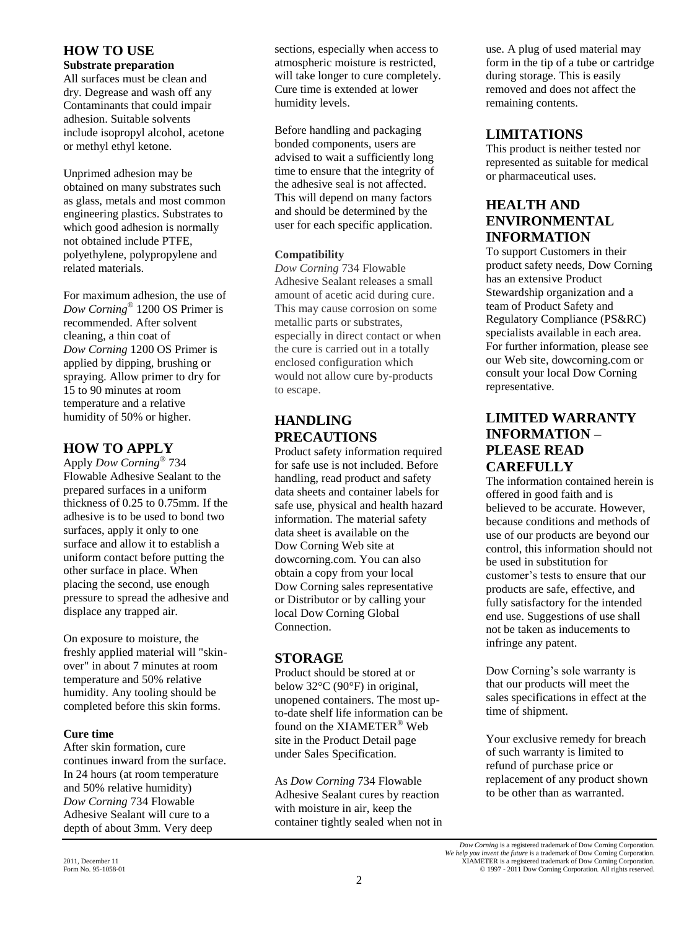### **HOW TO USE**

**Substrate preparation**

All surfaces must be clean and dry. Degrease and wash off any Contaminants that could impair adhesion. Suitable solvents include isopropyl alcohol, acetone or methyl ethyl ketone.

Unprimed adhesion may be obtained on many substrates such as glass, metals and most common engineering plastics. Substrates to which good adhesion is normally not obtained include PTFE, polyethylene, polypropylene and related materials.

For maximum adhesion, the use of *Dow Corning*® 1200 OS Primer is recommended. After solvent cleaning, a thin coat of *Dow Corning* 1200 OS Primer is applied by dipping, brushing or spraying. Allow primer to dry for 15 to 90 minutes at room temperature and a relative humidity of 50% or higher.

## **HOW TO APPLY**

Apply *Dow Corning ®* 734 Flowable Adhesive Sealant to the prepared surfaces in a uniform thickness of 0.25 to 0.75mm. If the adhesive is to be used to bond two surfaces, apply it only to one surface and allow it to establish a uniform contact before putting the other surface in place. When placing the second, use enough pressure to spread the adhesive and displace any trapped air.

On exposure to moisture, the freshly applied material will "skinover" in about 7 minutes at room temperature and 50% relative humidity. Any tooling should be completed before this skin forms.

#### **Cure time**

After skin formation, cure continues inward from the surface. In 24 hours (at room temperature and 50% relative humidity) *Dow Corning* 734 Flowable Adhesive Sealant will cure to a depth of about 3mm. Very deep

sections, especially when access to atmospheric moisture is restricted, will take longer to cure completely. Cure time is extended at lower humidity levels.

Before handling and packaging bonded components, users are advised to wait a sufficiently long time to ensure that the integrity of the adhesive seal is not affected. This will depend on many factors and should be determined by the user for each specific application.

#### **Compatibility**

*Dow Corning* 734 Flowable Adhesive Sealant releases a small amount of acetic acid during cure. This may cause corrosion on some metallic parts or substrates, especially in direct contact or when the cure is carried out in a totally enclosed configuration which would not allow cure by-products to escape.

# **HANDLING PRECAUTIONS**

Product safety information required for safe use is not included. Before handling, read product and safety data sheets and container labels for safe use, physical and health hazard information. The material safety data sheet is available on the Dow Corning Web site at dowcorning.com. You can also obtain a copy from your local Dow Corning sales representative or Distributor or by calling your local Dow Corning Global Connection.

# **STORAGE**

Product should be stored at or below 32°C (90°F) in original, unopened containers. The most upto-date shelf life information can be found on the XIAMETER® Web site in the Product Detail page under Sales Specification.

As *Dow Corning* 734 Flowable Adhesive Sealant cures by reaction with moisture in air, keep the container tightly sealed when not in replacement of any product shown to be other than as warranted.

use. A plug of used material may form in the tip of a tube or cartridge during storage. This is easily removed and does not affect the remaining contents.

# **LIMITATIONS**

This product is neither tested nor represented as suitable for medical or pharmaceutical uses.

# **HEALTH AND ENVIRONMENTAL INFORMATION**

To support Customers in their product safety needs, Dow Corning has an extensive Product Stewardship organization and a team of Product Safety and Regulatory Compliance (PS&RC) specialists available in each area. For further information, please see our Web site, dowcorning.com or consult your local Dow Corning representative.

# **LIMITED WARRANTY INFORMATION – PLEASE READ CAREFULLY**

The information contained herein is offered in good faith and is believed to be accurate. However, because conditions and methods of use of our products are beyond our control, this information should not be used in substitution for customer's tests to ensure that our products are safe, effective, and fully satisfactory for the intended end use. Suggestions of use shall not be taken as inducements to infringe any patent.

Dow Corning's sole warranty is that our products will meet the sales specifications in effect at the time of shipment.

Your exclusive remedy for breach of such warranty is limited to refund of purchase price or